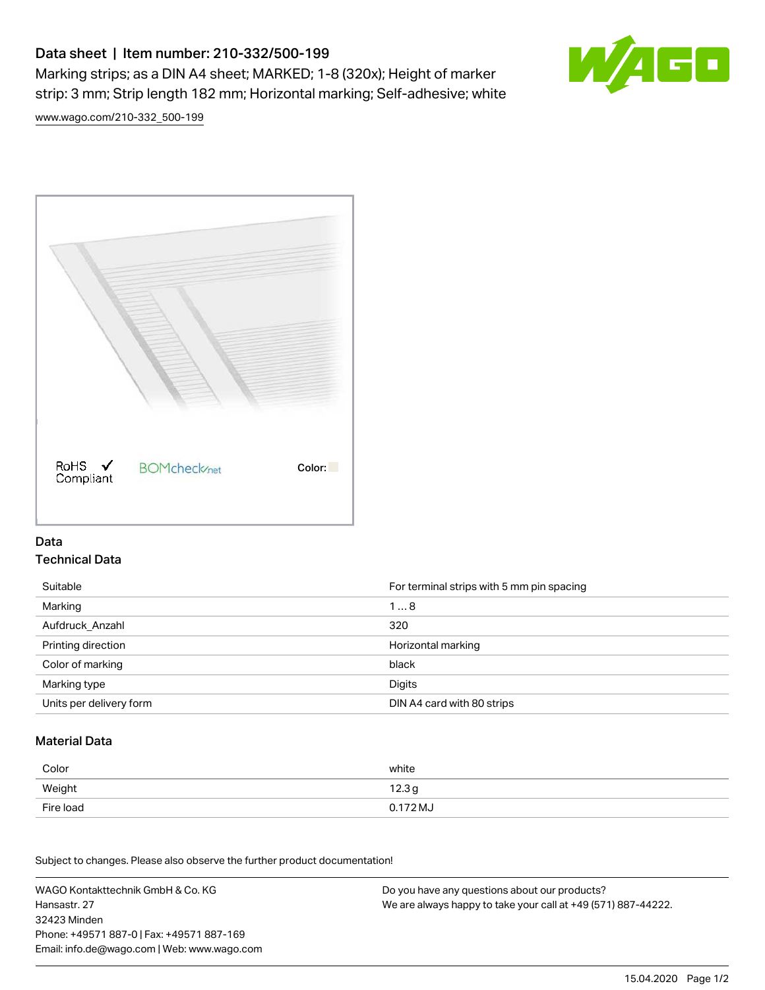# Data sheet | Item number: 210-332/500-199

Marking strips; as a DIN A4 sheet; MARKED; 1-8 (320x); Height of marker strip: 3 mm; Strip length 182 mm; Horizontal marking; Self-adhesive; white



[www.wago.com/210-332\\_500-199](http://www.wago.com/210-332_500-199)



### Data Technical Data

| Suitable                | For terminal strips with 5 mm pin spacing |
|-------------------------|-------------------------------------------|
| Marking                 | 18                                        |
| Aufdruck Anzahl         | 320                                       |
| Printing direction      | Horizontal marking                        |
| Color of marking        | black                                     |
| Marking type            | Digits                                    |
| Units per delivery form | DIN A4 card with 80 strips                |

#### Material Data

| Color     | white                       |
|-----------|-----------------------------|
| Weight    | 12.3 <sub>g</sub>           |
| Fire load | $0.172\,\mathrm{M}_{\odot}$ |

Subject to changes. Please also observe the further product documentation!

WAGO Kontakttechnik GmbH & Co. KG Hansastr. 27 32423 Minden Phone: +49571 887-0 | Fax: +49571 887-169 Email: info.de@wago.com | Web: www.wago.com Do you have any questions about our products? We are always happy to take your call at +49 (571) 887-44222.